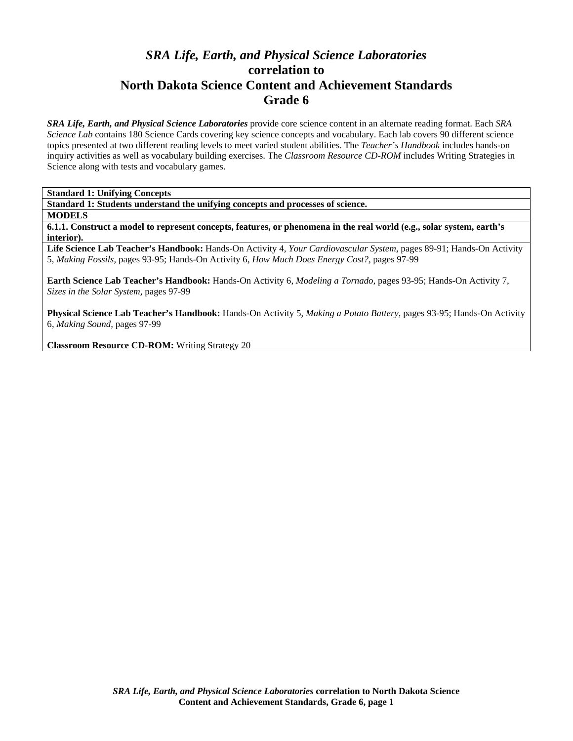# *SRA Life, Earth, and Physical Science Laboratories*  **correlation to North Dakota Science Content and Achievement Standards Grade 6**

*SRA Life, Earth, and Physical Science Laboratories* provide core science content in an alternate reading format. Each *SRA Science Lab* contains 180 Science Cards covering key science concepts and vocabulary. Each lab covers 90 different science topics presented at two different reading levels to meet varied student abilities. The *Teacher's Handbook* includes hands-on inquiry activities as well as vocabulary building exercises. The *Classroom Resource CD-ROM* includes Writing Strategies in Science along with tests and vocabulary games.

**Standard 1: Unifying Concepts** 

**Standard 1: Students understand the unifying concepts and processes of science.** 

**MODELS** 

**6.1.1. Construct a model to represent concepts, features, or phenomena in the real world (e.g., solar system, earth's interior).** 

**Life Science Lab Teacher's Handbook:** Hands-On Activity 4, *Your Cardiovascular System,* pages 89-91; Hands-On Activity 5, *Making Fossils,* pages 93-95; Hands-On Activity 6, *How Much Does Energy Cost?,* pages 97-99

**Earth Science Lab Teacher's Handbook:** Hands-On Activity 6, *Modeling a Tornado,* pages 93-95; Hands-On Activity 7, *Sizes in the Solar System,* pages 97-99

**Physical Science Lab Teacher's Handbook:** Hands-On Activity 5, *Making a Potato Battery,* pages 93-95; Hands-On Activity 6, *Making Sound,* pages 97-99

**Classroom Resource CD-ROM:** Writing Strategy 20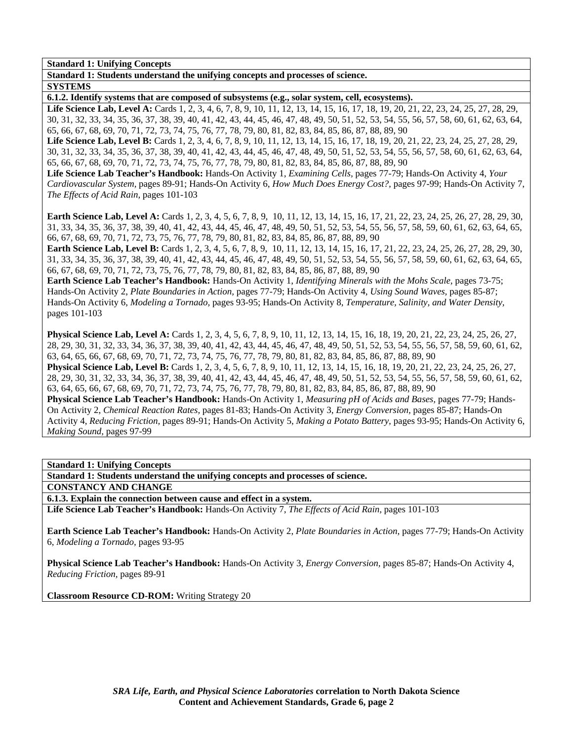**Standard 1: Unifying Concepts** 

**Standard 1: Students understand the unifying concepts and processes of science.** 

**SYSTEMS** 

**6.1.2. Identify systems that are composed of subsystems (e.g., solar system, cell, ecosystems).** 

Life Science Lab, Level A: Cards 1, 2, 3, 4, 6, 7, 8, 9, 10, 11, 12, 13, 14, 15, 16, 17, 18, 19, 20, 21, 22, 23, 24, 25, 27, 28, 29, 30, 31, 32, 33, 34, 35, 36, 37, 38, 39, 40, 41, 42, 43, 44, 45, 46, 47, 48, 49, 50, 51, 52, 53, 54, 55, 56, 57, 58, 60, 61, 62, 63, 64, 65, 66, 67, 68, 69, 70, 71, 72, 73, 74, 75, 76, 77, 78, 79, 80, 81, 82, 83, 84, 85, 86, 87, 88, 89, 90

Life Science Lab, Level B: Cards 1, 2, 3, 4, 6, 7, 8, 9, 10, 11, 12, 13, 14, 15, 16, 17, 18, 19, 20, 21, 22, 23, 24, 25, 27, 28, 29, 30, 31, 32, 33, 34, 35, 36, 37, 38, 39, 40, 41, 42, 43, 44, 45, 46, 47, 48, 49, 50, 51, 52, 53, 54, 55, 56, 57, 58, 60, 61, 62, 63, 64, 65, 66, 67, 68, 69, 70, 71, 72, 73, 74, 75, 76, 77, 78, 79, 80, 81, 82, 83, 84, 85, 86, 87, 88, 89, 90

**Life Science Lab Teacher's Handbook:** Hands-On Activity 1, *Examining Cells,* pages 77-79; Hands-On Activity 4, *Your Cardiovascular System,* pages 89-91; Hands-On Activity 6, *How Much Does Energy Cost?,* pages 97-99; Hands-On Activity 7, *The Effects of Acid Rain,* pages 101-103

Earth Science Lab, Level A: Cards 1, 2, 3, 4, 5, 6, 7, 8, 9, 10, 11, 12, 13, 14, 15, 16, 17, 21, 22, 23, 24, 25, 26, 27, 28, 29, 30, 31, 33, 34, 35, 36, 37, 38, 39, 40, 41, 42, 43, 44, 45, 46, 47, 48, 49, 50, 51, 52, 53, 54, 55, 56, 57, 58, 59, 60, 61, 62, 63, 64, 65, 66, 67, 68, 69, 70, 71, 72, 73, 75, 76, 77, 78, 79, 80, 81, 82, 83, 84, 85, 86, 87, 88, 89, 90

**Earth Science Lab, Level B:** Cards 1, 2, 3, 4, 5, 6, 7, 8, 9, 10, 11, 12, 13, 14, 15, 16, 17, 21, 22, 23, 24, 25, 26, 27, 28, 29, 30, 31, 33, 34, 35, 36, 37, 38, 39, 40, 41, 42, 43, 44, 45, 46, 47, 48, 49, 50, 51, 52, 53, 54, 55, 56, 57, 58, 59, 60, 61, 62, 63, 64, 65, 66, 67, 68, 69, 70, 71, 72, 73, 75, 76, 77, 78, 79, 80, 81, 82, 83, 84, 85, 86, 87, 88, 89, 90

**Earth Science Lab Teacher's Handbook:** Hands-On Activity 1, *Identifying Minerals with the Mohs Scale,* pages 73-75; Hands-On Activity 2, *Plate Boundaries in Action,* pages 77-79; Hands-On Activity 4, *Using Sound Waves,* pages 85-87; Hands-On Activity 6, *Modeling a Tornado,* pages 93-95; Hands-On Activity 8, *Temperature, Salinity, and Water Density,* pages 101-103

**Physical Science Lab, Level A:** Cards 1, 2, 3, 4, 5, 6, 7, 8, 9, 10, 11, 12, 13, 14, 15, 16, 18, 19, 20, 21, 22, 23, 24, 25, 26, 27, 28, 29, 30, 31, 32, 33, 34, 36, 37, 38, 39, 40, 41, 42, 43, 44, 45, 46, 47, 48, 49, 50, 51, 52, 53, 54, 55, 56, 57, 58, 59, 60, 61, 62, 63, 64, 65, 66, 67, 68, 69, 70, 71, 72, 73, 74, 75, 76, 77, 78, 79, 80, 81, 82, 83, 84, 85, 86, 87, 88, 89, 90 **Physical Science Lab, Level B:** Cards 1, 2, 3, 4, 5, 6, 7, 8, 9, 10, 11, 12, 13, 14, 15, 16, 18, 19, 20, 21, 22, 23, 24, 25, 26, 27, 28, 29, 30, 31, 32, 33, 34, 36, 37, 38, 39, 40, 41, 42, 43, 44, 45, 46, 47, 48, 49, 50, 51, 52, 53, 54, 55, 56, 57, 58, 59, 60, 61, 62, 63, 64, 65, 66, 67, 68, 69, 70, 71, 72, 73, 74, 75, 76, 77, 78, 79, 80, 81, 82, 83, 84, 85, 86, 87, 88, 89, 90 **Physical Science Lab Teacher's Handbook:** Hands-On Activity 1, *Measuring pH of Acids and Bases,* pages 77-79; Hands-On Activity 2, *Chemical Reaction Rates,* pages 81-83; Hands-On Activity 3, *Energy Conversion,* pages 85-87; Hands-On Activity 4, *Reducing Friction,* pages 89-91; Hands-On Activity 5, *Making a Potato Battery,* pages 93-95; Hands-On Activity 6, *Making Sound,* pages 97-99

**Standard 1: Unifying Concepts** 

**Standard 1: Students understand the unifying concepts and processes of science.** 

**CONSTANCY AND CHANGE** 

**6.1.3. Explain the connection between cause and effect in a system.** 

**Life Science Lab Teacher's Handbook:** Hands-On Activity 7, *The Effects of Acid Rain,* pages 101-103

**Earth Science Lab Teacher's Handbook:** Hands-On Activity 2, *Plate Boundaries in Action,* pages 77-79; Hands-On Activity 6, *Modeling a Tornado,* pages 93-95

**Physical Science Lab Teacher's Handbook:** Hands-On Activity 3, *Energy Conversion,* pages 85-87; Hands-On Activity 4, *Reducing Friction,* pages 89-91

**Classroom Resource CD-ROM:** Writing Strategy 20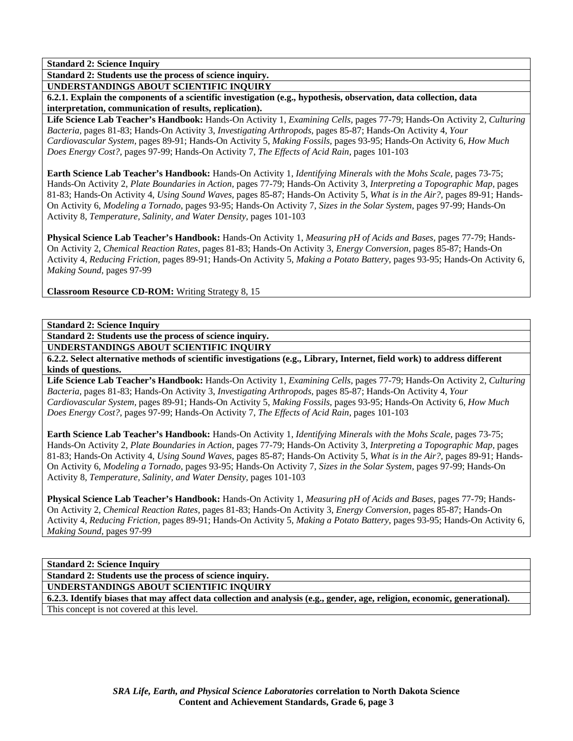**Standard 2: Students use the process of science inquiry.** 

**UNDERSTANDINGS ABOUT SCIENTIFIC INQUIRY** 

**6.2.1. Explain the components of a scientific investigation (e.g., hypothesis, observation, data collection, data interpretation, communication of results, replication).** 

**Life Science Lab Teacher's Handbook:** Hands-On Activity 1, *Examining Cells,* pages 77-79; Hands-On Activity 2, *Culturing Bacteria,* pages 81-83; Hands-On Activity 3, *Investigating Arthropods,* pages 85-87; Hands-On Activity 4, *Your Cardiovascular System,* pages 89-91; Hands-On Activity 5, *Making Fossils,* pages 93-95; Hands-On Activity 6, *How Much Does Energy Cost?,* pages 97-99; Hands-On Activity 7, *The Effects of Acid Rain,* pages 101-103

**Earth Science Lab Teacher's Handbook:** Hands-On Activity 1, *Identifying Minerals with the Mohs Scale,* pages 73-75; Hands-On Activity 2, *Plate Boundaries in Action,* pages 77-79; Hands-On Activity 3, *Interpreting a Topographic Map,* pages 81-83; Hands-On Activity 4, *Using Sound Waves,* pages 85-87; Hands-On Activity 5, *What is in the Air?,* pages 89-91; Hands-On Activity 6, *Modeling a Tornado,* pages 93-95; Hands-On Activity 7, *Sizes in the Solar System,* pages 97-99; Hands-On Activity 8, *Temperature, Salinity, and Water Density,* pages 101-103

**Physical Science Lab Teacher's Handbook:** Hands-On Activity 1, *Measuring pH of Acids and Bases,* pages 77-79; Hands-On Activity 2, *Chemical Reaction Rates,* pages 81-83; Hands-On Activity 3, *Energy Conversion,* pages 85-87; Hands-On Activity 4, *Reducing Friction,* pages 89-91; Hands-On Activity 5, *Making a Potato Battery,* pages 93-95; Hands-On Activity 6, *Making Sound,* pages 97-99

**Classroom Resource CD-ROM:** Writing Strategy 8, 15

**Standard 2: Science Inquiry** 

**Standard 2: Students use the process of science inquiry.** 

**UNDERSTANDINGS ABOUT SCIENTIFIC INQUIRY** 

**6.2.2. Select alternative methods of scientific investigations (e.g., Library, Internet, field work) to address different kinds of questions.** 

**Life Science Lab Teacher's Handbook:** Hands-On Activity 1, *Examining Cells,* pages 77-79; Hands-On Activity 2, *Culturing Bacteria,* pages 81-83; Hands-On Activity 3, *Investigating Arthropods,* pages 85-87; Hands-On Activity 4, *Your Cardiovascular System,* pages 89-91; Hands-On Activity 5, *Making Fossils,* pages 93-95; Hands-On Activity 6, *How Much Does Energy Cost?,* pages 97-99; Hands-On Activity 7, *The Effects of Acid Rain,* pages 101-103

**Earth Science Lab Teacher's Handbook:** Hands-On Activity 1, *Identifying Minerals with the Mohs Scale,* pages 73-75; Hands-On Activity 2, *Plate Boundaries in Action,* pages 77-79; Hands-On Activity 3, *Interpreting a Topographic Map,* pages 81-83; Hands-On Activity 4, *Using Sound Waves,* pages 85-87; Hands-On Activity 5, *What is in the Air?,* pages 89-91; Hands-On Activity 6, *Modeling a Tornado,* pages 93-95; Hands-On Activity 7, *Sizes in the Solar System,* pages 97-99; Hands-On Activity 8, *Temperature, Salinity, and Water Density,* pages 101-103

**Physical Science Lab Teacher's Handbook:** Hands-On Activity 1, *Measuring pH of Acids and Bases,* pages 77-79; Hands-On Activity 2, *Chemical Reaction Rates,* pages 81-83; Hands-On Activity 3, *Energy Conversion,* pages 85-87; Hands-On Activity 4, *Reducing Friction,* pages 89-91; Hands-On Activity 5, *Making a Potato Battery,* pages 93-95; Hands-On Activity 6, *Making Sound,* pages 97-99

**Standard 2: Science Inquiry** 

**Standard 2: Students use the process of science inquiry.** 

**UNDERSTANDINGS ABOUT SCIENTIFIC INQUIRY** 

**6.2.3. Identify biases that may affect data collection and analysis (e.g., gender, age, religion, economic, generational).**  This concept is not covered at this level.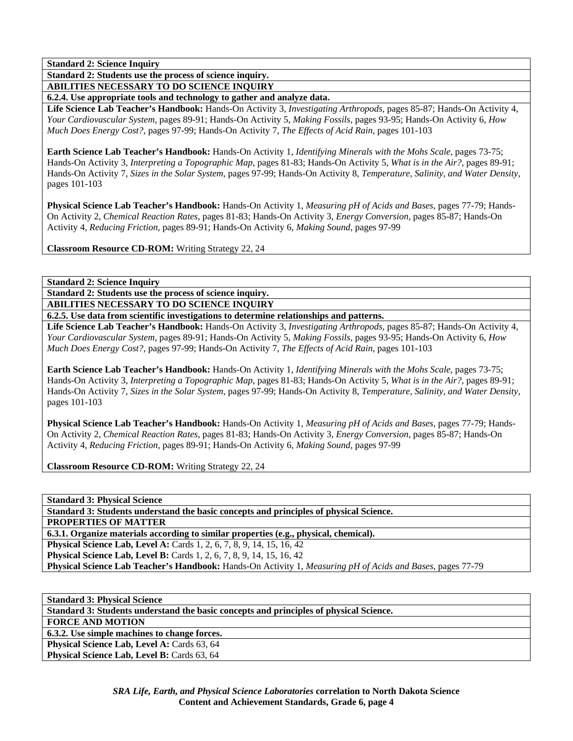**Standard 2: Students use the process of science inquiry.** 

**ABILITIES NECESSARY TO DO SCIENCE INQUIRY** 

**6.2.4. Use appropriate tools and technology to gather and analyze data.** 

**Life Science Lab Teacher's Handbook:** Hands-On Activity 3, *Investigating Arthropods,* pages 85-87; Hands-On Activity 4, *Your Cardiovascular System,* pages 89-91; Hands-On Activity 5, *Making Fossils,* pages 93-95; Hands-On Activity 6, *How Much Does Energy Cost?,* pages 97-99; Hands-On Activity 7, *The Effects of Acid Rain,* pages 101-103

**Earth Science Lab Teacher's Handbook:** Hands-On Activity 1, *Identifying Minerals with the Mohs Scale,* pages 73-75; Hands-On Activity 3, *Interpreting a Topographic Map,* pages 81-83; Hands-On Activity 5, *What is in the Air?,* pages 89-91; Hands-On Activity 7, *Sizes in the Solar System,* pages 97-99; Hands-On Activity 8, *Temperature, Salinity, and Water Density,* pages 101-103

**Physical Science Lab Teacher's Handbook:** Hands-On Activity 1, *Measuring pH of Acids and Bases,* pages 77-79; Hands-On Activity 2, *Chemical Reaction Rates,* pages 81-83; Hands-On Activity 3, *Energy Conversion,* pages 85-87; Hands-On Activity 4, *Reducing Friction,* pages 89-91; Hands-On Activity 6, *Making Sound,* pages 97-99

**Classroom Resource CD-ROM:** Writing Strategy 22, 24

**Standard 2: Science Inquiry** 

**Standard 2: Students use the process of science inquiry. ABILITIES NECESSARY TO DO SCIENCE INQUIRY** 

**6.2.5. Use data from scientific investigations to determine relationships and patterns.** 

**Life Science Lab Teacher's Handbook:** Hands-On Activity 3, *Investigating Arthropods,* pages 85-87; Hands-On Activity 4, *Your Cardiovascular System,* pages 89-91; Hands-On Activity 5, *Making Fossils,* pages 93-95; Hands-On Activity 6, *How Much Does Energy Cost?,* pages 97-99; Hands-On Activity 7, *The Effects of Acid Rain,* pages 101-103

**Earth Science Lab Teacher's Handbook:** Hands-On Activity 1, *Identifying Minerals with the Mohs Scale,* pages 73-75; Hands-On Activity 3, *Interpreting a Topographic Map,* pages 81-83; Hands-On Activity 5, *What is in the Air?,* pages 89-91; Hands-On Activity 7, *Sizes in the Solar System,* pages 97-99; Hands-On Activity 8, *Temperature, Salinity, and Water Density,* pages 101-103

**Physical Science Lab Teacher's Handbook:** Hands-On Activity 1, *Measuring pH of Acids and Bases,* pages 77-79; Hands-On Activity 2, *Chemical Reaction Rates,* pages 81-83; Hands-On Activity 3, *Energy Conversion,* pages 85-87; Hands-On Activity 4, *Reducing Friction,* pages 89-91; Hands-On Activity 6, *Making Sound,* pages 97-99

**Classroom Resource CD-ROM:** Writing Strategy 22, 24

**Standard 3: Physical Science Standard 3: Students understand the basic concepts and principles of physical Science. PROPERTIES OF MATTER 6.3.1. Organize materials according to similar properties (e.g., physical, chemical). Physical Science Lab, Level A: Cards 1, 2, 6, 7, 8, 9, 14, 15, 16, 42 Physical Science Lab, Level B:** Cards 1, 2, 6, 7, 8, 9, 14, 15, 16, 42 **Physical Science Lab Teacher's Handbook:** Hands-On Activity 1, *Measuring pH of Acids and Bases,* pages 77-79

**Standard 3: Physical Science Standard 3: Students understand the basic concepts and principles of physical Science. FORCE AND MOTION 6.3.2. Use simple machines to change forces. Physical Science Lab, Level A: Cards 63, 64 Physical Science Lab, Level B: Cards 63, 64**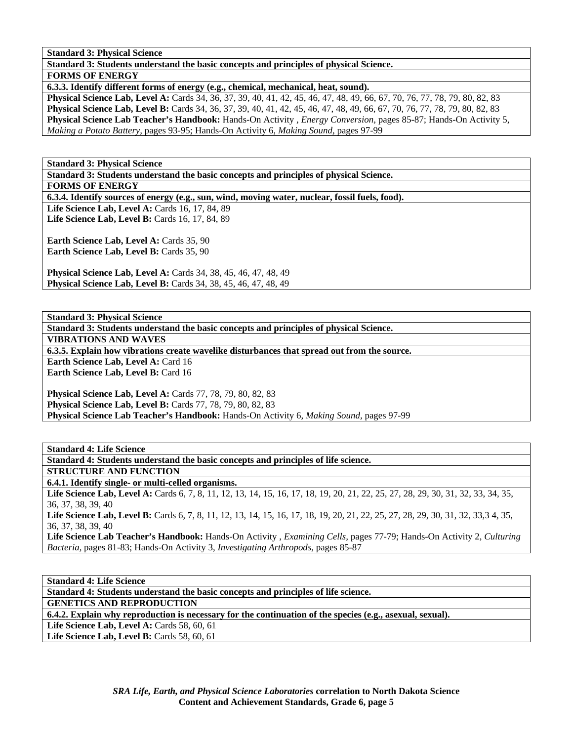**Standard 3: Physical Science** 

**Standard 3: Students understand the basic concepts and principles of physical Science.** 

**FORMS OF ENERGY** 

**6.3.3. Identify different forms of energy (e.g., chemical, mechanical, heat, sound).** 

**Physical Science Lab, Level A:** Cards 34, 36, 37, 39, 40, 41, 42, 45, 46, 47, 48, 49, 66, 67, 70, 76, 77, 78, 79, 80, 82, 83 **Physical Science Lab, Level B:** Cards 34, 36, 37, 39, 40, 41, 42, 45, 46, 47, 48, 49, 66, 67, 70, 76, 77, 78, 79, 80, 82, 83 **Physical Science Lab Teacher's Handbook:** Hands-On Activity , *Energy Conversion,* pages 85-87; Hands-On Activity 5, *Making a Potato Battery,* pages 93-95; Hands-On Activity 6, *Making Sound,* pages 97-99

**Standard 3: Physical Science** 

**Standard 3: Students understand the basic concepts and principles of physical Science.** 

**FORMS OF ENERGY** 

**6.3.4. Identify sources of energy (e.g., sun, wind, moving water, nuclear, fossil fuels, food).** 

Life Science Lab, Level A: Cards 16, 17, 84, 89 **Life Science Lab, Level B:** Cards 16, 17, 84, 89

**Earth Science Lab, Level A: Cards 35, 90** Earth Science Lab, Level B: Cards 35, 90

**Physical Science Lab, Level A:** Cards 34, 38, 45, 46, 47, 48, 49 **Physical Science Lab, Level B:** Cards 34, 38, 45, 46, 47, 48, 49

**Standard 3: Physical Science** 

**Standard 3: Students understand the basic concepts and principles of physical Science.** 

**VIBRATIONS AND WAVES** 

**6.3.5. Explain how vibrations create wavelike disturbances that spread out from the source.** 

**Earth Science Lab, Level A: Card 16 Earth Science Lab, Level B: Card 16** 

**Physical Science Lab, Level A: Cards 77, 78, 79, 80, 82, 83 Physical Science Lab, Level B:** Cards 77, 78, 79, 80, 82, 83 **Physical Science Lab Teacher's Handbook:** Hands-On Activity 6, *Making Sound,* pages 97-99

**Standard 4: Life Science Standard 4: Students understand the basic concepts and principles of life science. STRUCTURE AND FUNCTION 6.4.1. Identify single- or multi-celled organisms.**  Life Science Lab, Level A: Cards 6, 7, 8, 11, 12, 13, 14, 15, 16, 17, 18, 19, 20, 21, 22, 25, 27, 28, 29, 30, 31, 32, 33, 34, 35, 36, 37, 38, 39, 40 Life Science Lab, Level B: Cards 6, 7, 8, 11, 12, 13, 14, 15, 16, 17, 18, 19, 20, 21, 22, 25, 27, 28, 29, 30, 31, 32, 33,3 4, 35, 36, 37, 38, 39, 40 **Life Science Lab Teacher's Handbook:** Hands-On Activity , *Examining Cells,* pages 77-79; Hands-On Activity 2, *Culturing Bacteria,* pages 81-83; Hands-On Activity 3, *Investigating Arthropods,* pages 85-87

**Standard 4: Life Science Standard 4: Students understand the basic concepts and principles of life science. GENETICS AND REPRODUCTION 6.4.2. Explain why reproduction is necessary for the continuation of the species (e.g., asexual, sexual). Life Science Lab, Level A: Cards 58, 60, 61 Life Science Lab, Level B: Cards 58, 60, 61**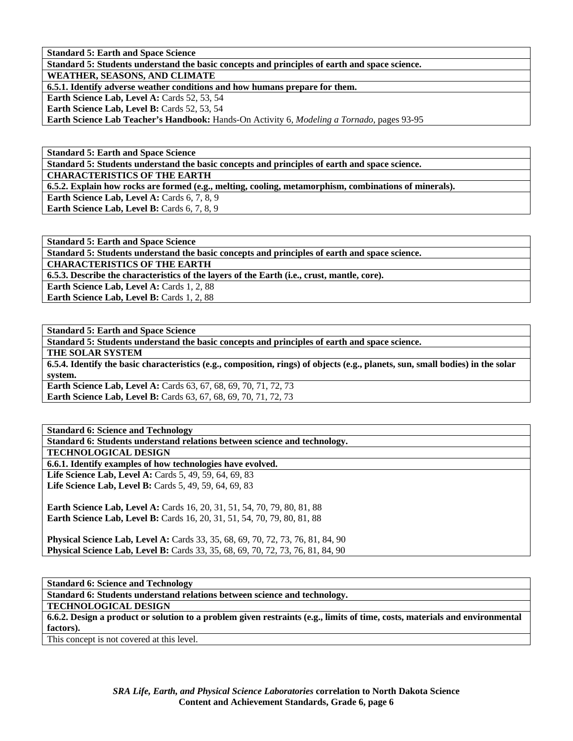**Standard 5: Earth and Space Science** 

**Standard 5: Students understand the basic concepts and principles of earth and space science.** 

**WEATHER, SEASONS, AND CLIMATE** 

**6.5.1. Identify adverse weather conditions and how humans prepare for them.** 

Earth Science Lab, Level A: Cards 52, 53, 54

Earth Science Lab, Level B: Cards 52, 53, 54

**Earth Science Lab Teacher's Handbook:** Hands-On Activity 6, *Modeling a Tornado,* pages 93-95

**Standard 5: Earth and Space Science** 

**Standard 5: Students understand the basic concepts and principles of earth and space science.** 

**CHARACTERISTICS OF THE EARTH** 

**6.5.2. Explain how rocks are formed (e.g., melting, cooling, metamorphism, combinations of minerals).** 

**Earth Science Lab, Level A: Cards 6, 7, 8, 9** 

**Earth Science Lab, Level B:** Cards 6, 7, 8, 9

**Standard 5: Earth and Space Science Standard 5: Students understand the basic concepts and principles of earth and space science. CHARACTERISTICS OF THE EARTH 6.5.3. Describe the characteristics of the layers of the Earth (i.e., crust, mantle, core). Earth Science Lab, Level A: Cards 1, 2, 88 Earth Science Lab, Level B: Cards 1, 2, 88** 

**Standard 5: Earth and Space Science** 

**Standard 5: Students understand the basic concepts and principles of earth and space science.** 

**THE SOLAR SYSTEM** 

**6.5.4. Identify the basic characteristics (e.g., composition, rings) of objects (e.g., planets, sun, small bodies) in the solar system.** 

**Earth Science Lab, Level A:** Cards 63, 67, 68, 69, 70, 71, 72, 73 **Earth Science Lab, Level B:** Cards 63, 67, 68, 69, 70, 71, 72, 73

**Standard 6: Science and Technology Standard 6: Students understand relations between science and technology.** 

**TECHNOLOGICAL DESIGN** 

**6.6.1. Identify examples of how technologies have evolved.** 

**Life Science Lab, Level A: Cards 5, 49, 59, 64, 69, 83 Life Science Lab, Level B:** Cards 5, 49, 59, 64, 69, 83

**Earth Science Lab, Level A: Cards 16, 20, 31, 51, 54, 70, 79, 80, 81, 88 Earth Science Lab, Level B:** Cards 16, 20, 31, 51, 54, 70, 79, 80, 81, 88

**Physical Science Lab, Level A:** Cards 33, 35, 68, 69, 70, 72, 73, 76, 81, 84, 90 **Physical Science Lab, Level B:** Cards 33, 35, 68, 69, 70, 72, 73, 76, 81, 84, 90

**Standard 6: Science and Technology** 

**Standard 6: Students understand relations between science and technology.** 

**TECHNOLOGICAL DESIGN** 

**6.6.2. Design a product or solution to a problem given restraints (e.g., limits of time, costs, materials and environmental factors).** 

This concept is not covered at this level.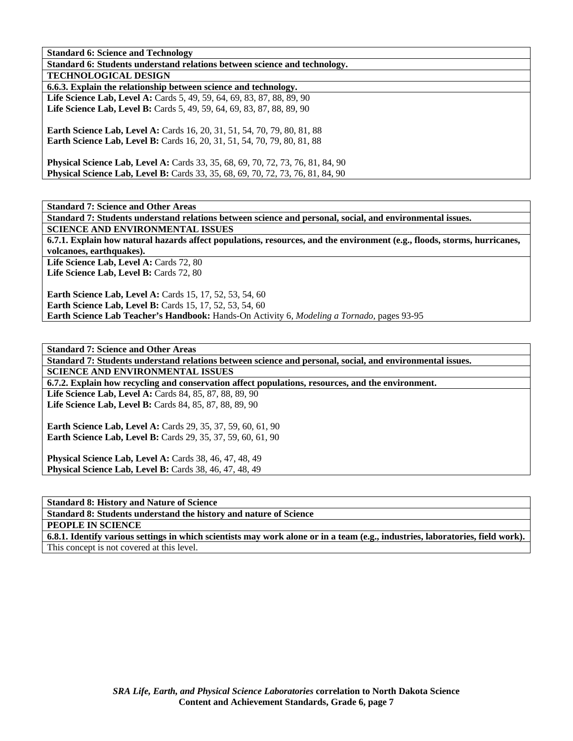| Standard v. Science and Technology                                                     |
|----------------------------------------------------------------------------------------|
| Standard 6: Students understand relations between science and technology.              |
| <b>TECHNOLOGICAL DESIGN</b>                                                            |
| 6.6.3. Explain the relationship between science and technology.                        |
| <b>Life Science Lab, Level A:</b> Cards 5, 49, 59, 64, 69, 83, 87, 88, 89, 90          |
| Life Science Lab, Level B: Cards 5, 49, 59, 64, 69, 83, 87, 88, 89, 90                 |
|                                                                                        |
| <b>Earth Science Lab, Level A: Cards 16, 20, 31, 51, 54, 70, 79, 80, 81, 88</b>        |
| <b>Earth Science Lab, Level B:</b> Cards 16, 20, 31, 51, 54, 70, 79, 80, 81, 88        |
|                                                                                        |
| <b>Physical Science Lab, Level A:</b> Cards 33, 35, 68, 69, 70, 72, 73, 76, 81, 84, 90 |
| <b>Physical Science Lab, Level B:</b> Cards 33, 35, 68, 69, 70, 72, 73, 76, 81, 84, 90 |

**Standard 7: Science and Other Areas** 

**Standard 7: Students understand relations between science and personal, social, and environmental issues. SCIENCE AND ENVIRONMENTAL ISSUES** 

**6.7.1. Explain how natural hazards affect populations, resources, and the environment (e.g., floods, storms, hurricanes, volcanoes, earthquakes).** 

Life Science Lab, Level A: Cards 72, 80 Life Science Lab, Level B: Cards 72, 80

**Earth Science Lab, Level A: Cards 15, 17, 52, 53, 54, 60 Earth Science Lab, Level B:** Cards 15, 17, 52, 53, 54, 60 **Earth Science Lab Teacher's Handbook:** Hands-On Activity 6, *Modeling a Tornado,* pages 93-95

**Standard 7: Science and Other Areas Standard 7: Students understand relations between science and personal, social, and environmental issues. SCIENCE AND ENVIRONMENTAL ISSUES 6.7.2. Explain how recycling and conservation affect populations, resources, and the environment.**  Life Science Lab, Level A: Cards 84, 85, 87, 88, 89, 90 Life Science Lab, Level B: Cards 84, 85, 87, 88, 89, 90 **Earth Science Lab, Level A:** Cards 29, 35, 37, 59, 60, 61, 90 **Earth Science Lab, Level B:** Cards 29, 35, 37, 59, 60, 61, 90

**Physical Science Lab, Level A: Cards 38, 46, 47, 48, 49 Physical Science Lab, Level B:** Cards 38, 46, 47, 48, 49

**Standard 8: History and Nature of Science Standard 8: Students understand the history and nature of Science** 

**PEOPLE IN SCIENCE** 

**6.8.1. Identify various settings in which scientists may work alone or in a team (e.g., industries, laboratories, field work).**  This concept is not covered at this level.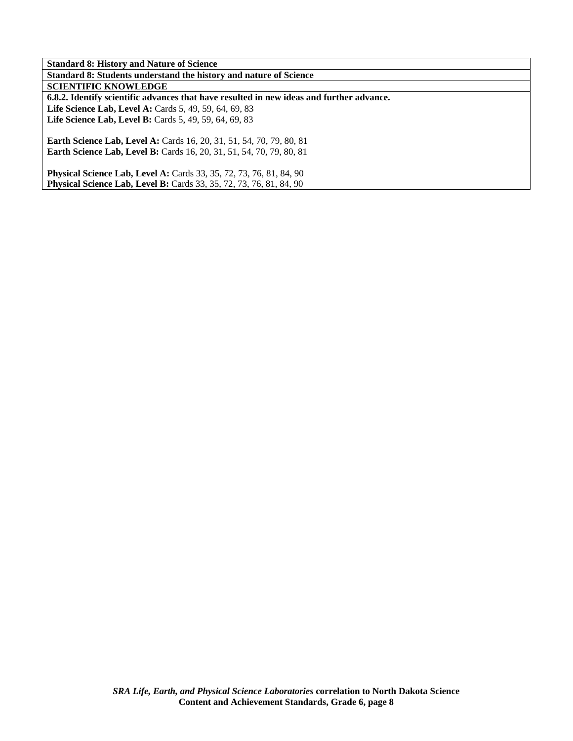| <b>Standard 8: History and Nature of Science</b>                                         |
|------------------------------------------------------------------------------------------|
| Standard 8: Students understand the history and nature of Science                        |
| <b>SCIENTIFIC KNOWLEDGE</b>                                                              |
| 6.8.2. Identify scientific advances that have resulted in new ideas and further advance. |
| <b>Life Science Lab, Level A: Cards 5, 49, 59, 64, 69, 83</b>                            |
| <b>Life Science Lab, Level B:</b> Cards 5, 49, 59, 64, 69, 83                            |
|                                                                                          |
| <b>Earth Science Lab, Level A: Cards 16, 20, 31, 51, 54, 70, 79, 80, 81</b>              |
| <b>Earth Science Lab, Level B:</b> Cards 16, 20, 31, 51, 54, 70, 79, 80, 81              |
|                                                                                          |
| <b>Physical Science Lab, Level A: Cards 33, 35, 72, 73, 76, 81, 84, 90</b>               |
| <b>Physical Science Lab, Level B:</b> Cards 33, 35, 72, 73, 76, 81, 84, 90               |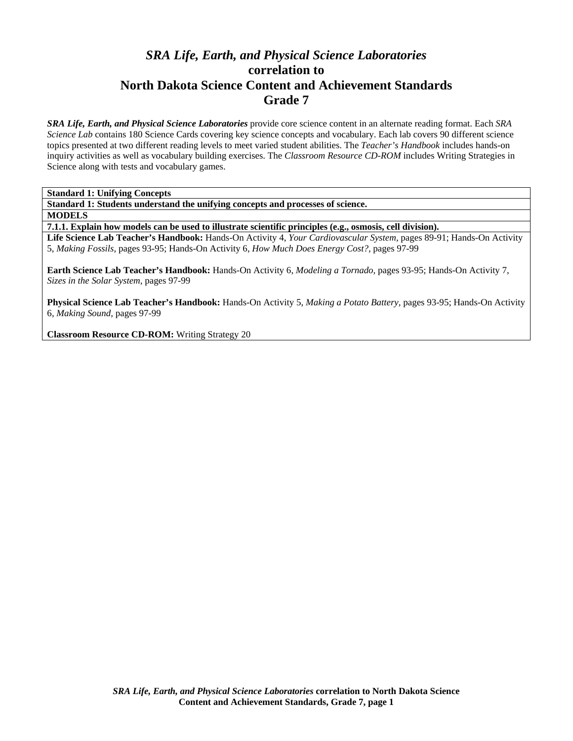# *SRA Life, Earth, and Physical Science Laboratories*  **correlation to North Dakota Science Content and Achievement Standards Grade 7**

*SRA Life, Earth, and Physical Science Laboratories* provide core science content in an alternate reading format. Each *SRA Science Lab* contains 180 Science Cards covering key science concepts and vocabulary. Each lab covers 90 different science topics presented at two different reading levels to meet varied student abilities. The *Teacher's Handbook* includes hands-on inquiry activities as well as vocabulary building exercises. The *Classroom Resource CD-ROM* includes Writing Strategies in Science along with tests and vocabulary games.

**Standard 1: Unifying Concepts** 

**Standard 1: Students understand the unifying concepts and processes of science.** 

**MODELS** 

**7.1.1. Explain how models can be used to illustrate scientific principles (e.g., osmosis, cell division).** 

**Life Science Lab Teacher's Handbook:** Hands-On Activity 4, *Your Cardiovascular System,* pages 89-91; Hands-On Activity 5, *Making Fossils,* pages 93-95; Hands-On Activity 6, *How Much Does Energy Cost?,* pages 97-99

**Earth Science Lab Teacher's Handbook:** Hands-On Activity 6, *Modeling a Tornado,* pages 93-95; Hands-On Activity 7, *Sizes in the Solar System,* pages 97-99

**Physical Science Lab Teacher's Handbook:** Hands-On Activity 5, *Making a Potato Battery,* pages 93-95; Hands-On Activity 6, *Making Sound,* pages 97-99

**Classroom Resource CD-ROM:** Writing Strategy 20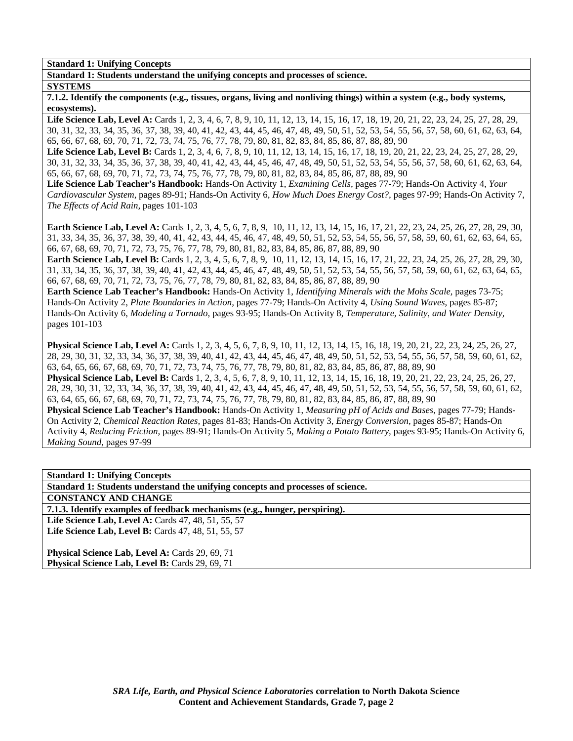**Standard 1: Unifying Concepts** 

**Standard 1: Students understand the unifying concepts and processes of science.** 

### **SYSTEMS**

**7.1.2. Identify the components (e.g., tissues, organs, living and nonliving things) within a system (e.g., body systems, ecosystems).** 

Life Science Lab, Level A: Cards 1, 2, 3, 4, 6, 7, 8, 9, 10, 11, 12, 13, 14, 15, 16, 17, 18, 19, 20, 21, 22, 23, 24, 25, 27, 28, 29, 30, 31, 32, 33, 34, 35, 36, 37, 38, 39, 40, 41, 42, 43, 44, 45, 46, 47, 48, 49, 50, 51, 52, 53, 54, 55, 56, 57, 58, 60, 61, 62, 63, 64, 65, 66, 67, 68, 69, 70, 71, 72, 73, 74, 75, 76, 77, 78, 79, 80, 81, 82, 83, 84, 85, 86, 87, 88, 89, 90

Life Science Lab, Level B: Cards 1, 2, 3, 4, 6, 7, 8, 9, 10, 11, 12, 13, 14, 15, 16, 17, 18, 19, 20, 21, 22, 23, 24, 25, 27, 28, 29, 30, 31, 32, 33, 34, 35, 36, 37, 38, 39, 40, 41, 42, 43, 44, 45, 46, 47, 48, 49, 50, 51, 52, 53, 54, 55, 56, 57, 58, 60, 61, 62, 63, 64, 65, 66, 67, 68, 69, 70, 71, 72, 73, 74, 75, 76, 77, 78, 79, 80, 81, 82, 83, 84, 85, 86, 87, 88, 89, 90

**Life Science Lab Teacher's Handbook:** Hands-On Activity 1, *Examining Cells,* pages 77-79; Hands-On Activity 4, *Your Cardiovascular System,* pages 89-91; Hands-On Activity 6, *How Much Does Energy Cost?,* pages 97-99; Hands-On Activity 7, *The Effects of Acid Rain,* pages 101-103

**Earth Science Lab, Level A:** Cards 1, 2, 3, 4, 5, 6, 7, 8, 9, 10, 11, 12, 13, 14, 15, 16, 17, 21, 22, 23, 24, 25, 26, 27, 28, 29, 30, 31, 33, 34, 35, 36, 37, 38, 39, 40, 41, 42, 43, 44, 45, 46, 47, 48, 49, 50, 51, 52, 53, 54, 55, 56, 57, 58, 59, 60, 61, 62, 63, 64, 65, 66, 67, 68, 69, 70, 71, 72, 73, 75, 76, 77, 78, 79, 80, 81, 82, 83, 84, 85, 86, 87, 88, 89, 90

**Earth Science Lab, Level B:** Cards 1, 2, 3, 4, 5, 6, 7, 8, 9, 10, 11, 12, 13, 14, 15, 16, 17, 21, 22, 23, 24, 25, 26, 27, 28, 29, 30, 31, 33, 34, 35, 36, 37, 38, 39, 40, 41, 42, 43, 44, 45, 46, 47, 48, 49, 50, 51, 52, 53, 54, 55, 56, 57, 58, 59, 60, 61, 62, 63, 64, 65, 66, 67, 68, 69, 70, 71, 72, 73, 75, 76, 77, 78, 79, 80, 81, 82, 83, 84, 85, 86, 87, 88, 89, 90

**Earth Science Lab Teacher's Handbook:** Hands-On Activity 1, *Identifying Minerals with the Mohs Scale,* pages 73-75; Hands-On Activity 2, *Plate Boundaries in Action,* pages 77-79; Hands-On Activity 4, *Using Sound Waves,* pages 85-87; Hands-On Activity 6, *Modeling a Tornado,* pages 93-95; Hands-On Activity 8, *Temperature, Salinity, and Water Density,* pages 101-103

**Physical Science Lab, Level A:** Cards 1, 2, 3, 4, 5, 6, 7, 8, 9, 10, 11, 12, 13, 14, 15, 16, 18, 19, 20, 21, 22, 23, 24, 25, 26, 27, 28, 29, 30, 31, 32, 33, 34, 36, 37, 38, 39, 40, 41, 42, 43, 44, 45, 46, 47, 48, 49, 50, 51, 52, 53, 54, 55, 56, 57, 58, 59, 60, 61, 62, 63, 64, 65, 66, 67, 68, 69, 70, 71, 72, 73, 74, 75, 76, 77, 78, 79, 80, 81, 82, 83, 84, 85, 86, 87, 88, 89, 90 **Physical Science Lab, Level B:** Cards 1, 2, 3, 4, 5, 6, 7, 8, 9, 10, 11, 12, 13, 14, 15, 16, 18, 19, 20, 21, 22, 23, 24, 25, 26, 27, 28, 29, 30, 31, 32, 33, 34, 36, 37, 38, 39, 40, 41, 42, 43, 44, 45, 46, 47, 48, 49, 50, 51, 52, 53, 54, 55, 56, 57, 58, 59, 60, 61, 62, 63, 64, 65, 66, 67, 68, 69, 70, 71, 72, 73, 74, 75, 76, 77, 78, 79, 80, 81, 82, 83, 84, 85, 86, 87, 88, 89, 90 **Physical Science Lab Teacher's Handbook:** Hands-On Activity 1, *Measuring pH of Acids and Bases,* pages 77-79; Hands-On Activity 2, *Chemical Reaction Rates,* pages 81-83; Hands-On Activity 3, *Energy Conversion,* pages 85-87; Hands-On Activity 4, *Reducing Friction,* pages 89-91; Hands-On Activity 5, *Making a Potato Battery,* pages 93-95; Hands-On Activity 6, *Making Sound,* pages 97-99

**Standard 1: Unifying Concepts Standard 1: Students understand the unifying concepts and processes of science. CONSTANCY AND CHANGE 7.1.3. Identify examples of feedback mechanisms (e.g., hunger, perspiring).**  Life Science Lab, Level A: Cards 47, 48, 51, 55, 57 **Life Science Lab, Level B: Cards 47, 48, 51, 55, 57** 

Physical Science Lab, Level A: Cards 29, 69, 71 **Physical Science Lab, Level B: Cards 29, 69, 71**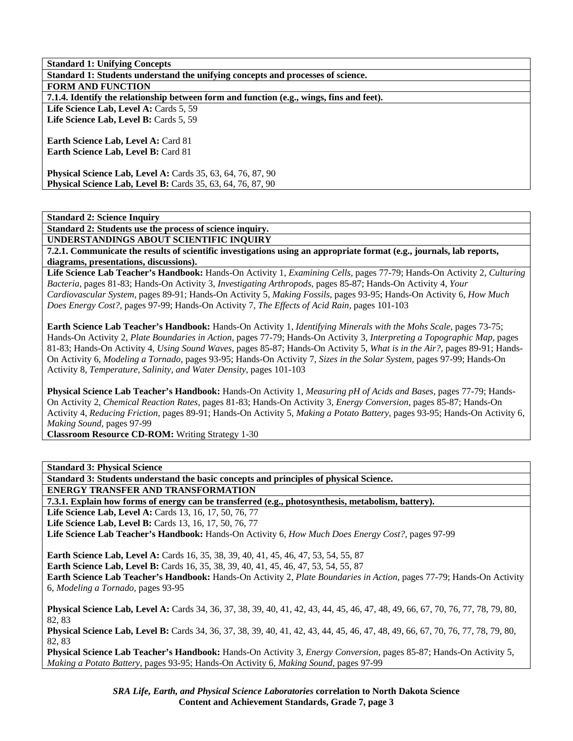| <b>Standard 1: Unifying Concepts</b>                                                     |
|------------------------------------------------------------------------------------------|
| Standard 1: Students understand the unifying concepts and processes of science.          |
| <b>FORM AND FUNCTION</b>                                                                 |
| 7.1.4. Identify the relationship between form and function (e.g., wings, fins and feet). |
| Life Science Lab, Level A: Cards 5, 59                                                   |
| Life Science Lab, Level B: Cards 5, 59                                                   |
|                                                                                          |
| <b>Earth Science Lab, Level A: Card 81</b>                                               |
| <b>Earth Science Lab, Level B: Card 81</b>                                               |
|                                                                                          |
| <b>Physical Science Lab, Level A:</b> Cards 35, 63, 64, 76, 87, 90                       |
| <b>Physical Science Lab, Level B:</b> Cards 35, 63, 64, 76, 87, 90                       |

**Standard 2: Students use the process of science inquiry.** 

**UNDERSTANDINGS ABOUT SCIENTIFIC INQUIRY 7.2.1. Communicate the results of scientific investigations using an appropriate format (e.g., journals, lab reports,** 

**diagrams, presentations, discussions).** 

**Life Science Lab Teacher's Handbook:** Hands-On Activity 1, *Examining Cells,* pages 77-79; Hands-On Activity 2, *Culturing Bacteria,* pages 81-83; Hands-On Activity 3, *Investigating Arthropods,* pages 85-87; Hands-On Activity 4, *Your Cardiovascular System,* pages 89-91; Hands-On Activity 5, *Making Fossils,* pages 93-95; Hands-On Activity 6, *How Much Does Energy Cost?,* pages 97-99; Hands-On Activity 7, *The Effects of Acid Rain,* pages 101-103

**Earth Science Lab Teacher's Handbook:** Hands-On Activity 1, *Identifying Minerals with the Mohs Scale,* pages 73-75; Hands-On Activity 2, *Plate Boundaries in Action,* pages 77-79; Hands-On Activity 3, *Interpreting a Topographic Map,* pages 81-83; Hands-On Activity 4, *Using Sound Waves,* pages 85-87; Hands-On Activity 5, *What is in the Air?,* pages 89-91; Hands-On Activity 6, *Modeling a Tornado,* pages 93-95; Hands-On Activity 7, *Sizes in the Solar System,* pages 97-99; Hands-On Activity 8, *Temperature, Salinity, and Water Density,* pages 101-103

**Physical Science Lab Teacher's Handbook:** Hands-On Activity 1, *Measuring pH of Acids and Bases,* pages 77-79; Hands-On Activity 2, *Chemical Reaction Rates,* pages 81-83; Hands-On Activity 3, *Energy Conversion,* pages 85-87; Hands-On Activity 4, *Reducing Friction,* pages 89-91; Hands-On Activity 5, *Making a Potato Battery,* pages 93-95; Hands-On Activity 6, *Making Sound,* pages 97-99

**Classroom Resource CD-ROM:** Writing Strategy 1-30

**Standard 3: Physical Science** 

**Standard 3: Students understand the basic concepts and principles of physical Science.** 

**ENERGY TRANSFER AND TRANSFORMATION** 

**7.3.1. Explain how forms of energy can be transferred (e.g., photosynthesis, metabolism, battery).** 

Life Science Lab, Level A: Cards 13, 16, 17, 50, 76, 77

**Life Science Lab, Level B: Cards 13, 16, 17, 50, 76, 77** 

**Life Science Lab Teacher's Handbook:** Hands-On Activity 6, *How Much Does Energy Cost?,* pages 97-99

**Earth Science Lab, Level A:** Cards 16, 35, 38, 39, 40, 41, 45, 46, 47, 53, 54, 55, 87

**Earth Science Lab, Level B:** Cards 16, 35, 38, 39, 40, 41, 45, 46, 47, 53, 54, 55, 87

**Earth Science Lab Teacher's Handbook:** Hands-On Activity 2, *Plate Boundaries in Action,* pages 77-79; Hands-On Activity 6, *Modeling a Tornado,* pages 93-95

**Physical Science Lab, Level A:** Cards 34, 36, 37, 38, 39, 40, 41, 42, 43, 44, 45, 46, 47, 48, 49, 66, 67, 70, 76, 77, 78, 79, 80, 82, 83

**Physical Science Lab, Level B:** Cards 34, 36, 37, 38, 39, 40, 41, 42, 43, 44, 45, 46, 47, 48, 49, 66, 67, 70, 76, 77, 78, 79, 80, 82, 83

**Physical Science Lab Teacher's Handbook:** Hands-On Activity 3, *Energy Conversion,* pages 85-87; Hands-On Activity 5, *Making a Potato Battery,* pages 93-95; Hands-On Activity 6, *Making Sound,* pages 97-99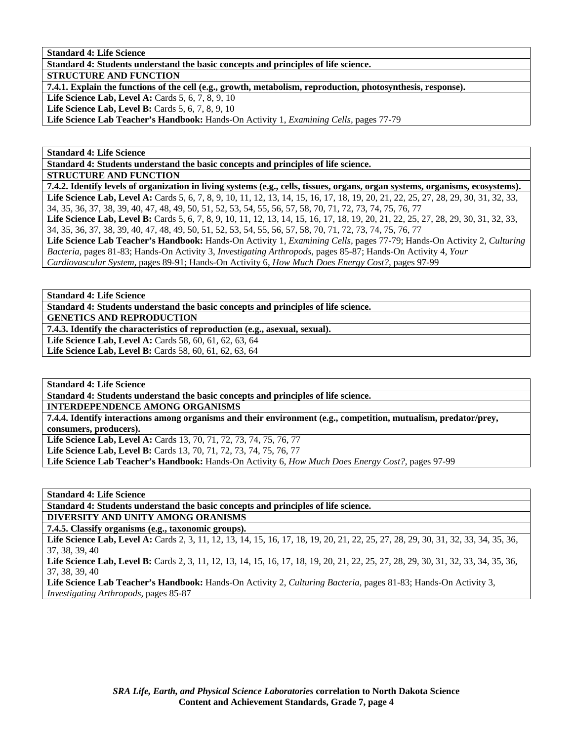**Standard 4: Life Science** 

**Standard 4: Students understand the basic concepts and principles of life science.** 

**STRUCTURE AND FUNCTION** 

**7.4.1. Explain the functions of the cell (e.g., growth, metabolism, reproduction, photosynthesis, response).** 

**Life Science Lab, Level A: Cards 5, 6, 7, 8, 9, 10** 

**Life Science Lab, Level B:** Cards 5, 6, 7, 8, 9, 10

**Life Science Lab Teacher's Handbook:** Hands-On Activity 1, *Examining Cells,* pages 77-79

**Standard 4: Life Science** 

**Standard 4: Students understand the basic concepts and principles of life science.** 

**STRUCTURE AND FUNCTION** 

**7.4.2. Identify levels of organization in living systems (e.g., cells, tissues, organs, organ systems, organisms, ecosystems). Life Science Lab, Level A:** Cards 5, 6, 7, 8, 9, 10, 11, 12, 13, 14, 15, 16, 17, 18, 19, 20, 21, 22, 25, 27, 28, 29, 30, 31, 32, 33, 34, 35, 36, 37, 38, 39, 40, 47, 48, 49, 50, 51, 52, 53, 54, 55, 56, 57, 58, 70, 71, 72, 73, 74, 75, 76, 77 Life Science Lab, Level B: Cards 5, 6, 7, 8, 9, 10, 11, 12, 13, 14, 15, 16, 17, 18, 19, 20, 21, 22, 25, 27, 28, 29, 30, 31, 32, 33, 34, 35, 36, 37, 38, 39, 40, 47, 48, 49, 50, 51, 52, 53, 54, 55, 56, 57, 58, 70, 71, 72, 73, 74, 75, 76, 77 **Life Science Lab Teacher's Handbook:** Hands-On Activity 1, *Examining Cells,* pages 77-79; Hands-On Activity 2, *Culturing Bacteria,* pages 81-83; Hands-On Activity 3, *Investigating Arthropods,* pages 85-87; Hands-On Activity 4, *Your Cardiovascular System,* pages 89-91; Hands-On Activity 6, *How Much Does Energy Cost?,* pages 97-99

**Standard 4: Life Science** 

**Standard 4: Students understand the basic concepts and principles of life science. GENETICS AND REPRODUCTION** 

**7.4.3. Identify the characteristics of reproduction (e.g., asexual, sexual).** 

Life Science Lab, Level A: Cards 58, 60, 61, 62, 63, 64 Life Science Lab, Level B: Cards 58, 60, 61, 62, 63, 64

**Standard 4: Life Science** 

**Standard 4: Students understand the basic concepts and principles of life science.** 

**INTERDEPENDENCE AMONG ORGANISMS** 

**7.4.4. Identify interactions among organisms and their environment (e.g., competition, mutualism, predator/prey, consumers, producers).** 

**Life Science Lab, Level A:** Cards 13, 70, 71, 72, 73, 74, 75, 76, 77

**Life Science Lab, Level B:** Cards 13, 70, 71, 72, 73, 74, 75, 76, 77

**Life Science Lab Teacher's Handbook:** Hands-On Activity 6, *How Much Does Energy Cost?,* pages 97-99

**Standard 4: Life Science** 

**Standard 4: Students understand the basic concepts and principles of life science. DIVERSITY AND UNITY AMONG ORANISMS** 

**7.4.5. Classify organisms (e.g., taxonomic groups).** 

Life Science Lab, Level A: Cards 2, 3, 11, 12, 13, 14, 15, 16, 17, 18, 19, 20, 21, 22, 25, 27, 28, 29, 30, 31, 32, 33, 34, 35, 36, 37, 38, 39, 40

Life Science Lab, Level B: Cards 2, 3, 11, 12, 13, 14, 15, 16, 17, 18, 19, 20, 21, 22, 25, 27, 28, 29, 30, 31, 32, 33, 34, 35, 36, 37, 38, 39, 40

**Life Science Lab Teacher's Handbook:** Hands-On Activity 2, *Culturing Bacteria,* pages 81-83; Hands-On Activity 3, *Investigating Arthropods,* pages 85-87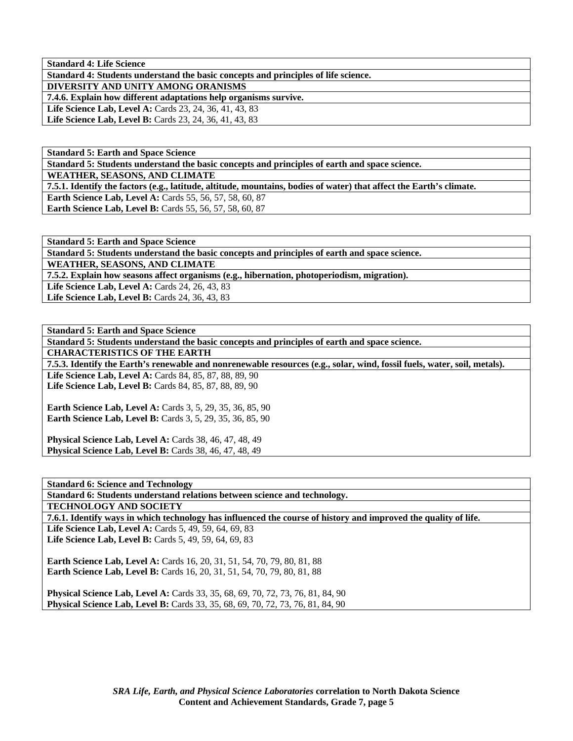**Standard 4: Life Science** 

**Standard 4: Students understand the basic concepts and principles of life science.** 

**DIVERSITY AND UNITY AMONG ORANISMS** 

**7.4.6. Explain how different adaptations help organisms survive.** 

**Life Science Lab, Level A: Cards 23, 24, 36, 41, 43, 83** 

Life Science Lab, Level B: Cards 23, 24, 36, 41, 43, 83

**Standard 5: Earth and Space Science** 

**Standard 5: Students understand the basic concepts and principles of earth and space science.** 

**WEATHER, SEASONS, AND CLIMATE** 

**7.5.1. Identify the factors (e.g., latitude, altitude, mountains, bodies of water) that affect the Earth's climate.** 

**Earth Science Lab, Level A: Cards 55, 56, 57, 58, 60, 87** 

**Earth Science Lab, Level B:** Cards 55, 56, 57, 58, 60, 87

**Standard 5: Earth and Space Science Standard 5: Students understand the basic concepts and principles of earth and space science. WEATHER, SEASONS, AND CLIMATE 7.5.2. Explain how seasons affect organisms (e.g., hibernation, photoperiodism, migration). Life Science Lab, Level A: Cards 24, 26, 43, 83** Life Science Lab, Level B: Cards 24, 36, 43, 83

**Standard 5: Earth and Space Science Standard 5: Students understand the basic concepts and principles of earth and space science. CHARACTERISTICS OF THE EARTH 7.5.3. Identify the Earth's renewable and nonrenewable resources (e.g., solar, wind, fossil fuels, water, soil, metals). Life Science Lab, Level A: Cards 84, 85, 87, 88, 89, 90** Life Science Lab, Level B: Cards 84, 85, 87, 88, 89, 90 **Earth Science Lab, Level A: Cards 3, 5, 29, 35, 36, 85, 90 Earth Science Lab, Level B:** Cards 3, 5, 29, 35, 36, 85, 90 **Physical Science Lab, Level A: Cards 38, 46, 47, 48, 49** 

**Physical Science Lab, Level B:** Cards 38, 46, 47, 48, 49

**Standard 6: Science and Technology Standard 6: Students understand relations between science and technology. TECHNOLOGY AND SOCIETY 7.6.1. Identify ways in which technology has influenced the course of history and improved the quality of life.**  Life Science Lab, Level A: Cards 5, 49, 59, 64, 69, 83 Life Science Lab, Level B: Cards 5, 49, 59, 64, 69, 83 **Earth Science Lab, Level A: Cards 16, 20, 31, 51, 54, 70, 79, 80, 81, 88 Earth Science Lab, Level B:** Cards 16, 20, 31, 51, 54, 70, 79, 80, 81, 88 **Physical Science Lab, Level A:** Cards 33, 35, 68, 69, 70, 72, 73, 76, 81, 84, 90 **Physical Science Lab, Level B:** Cards 33, 35, 68, 69, 70, 72, 73, 76, 81, 84, 90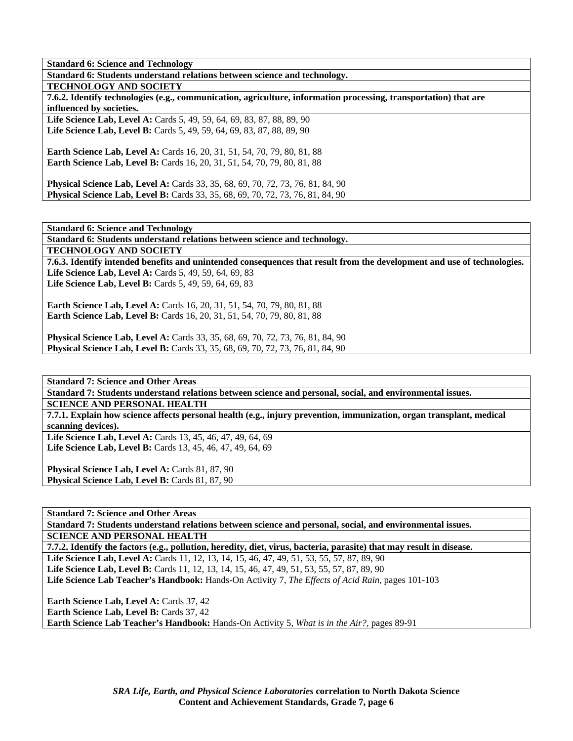**Standard 6: Science and Technology** 

**Standard 6: Students understand relations between science and technology.** 

**TECHNOLOGY AND SOCIETY** 

**7.6.2. Identify technologies (e.g., communication, agriculture, information processing, transportation) that are influenced by societies.** 

Life Science Lab, Level A: Cards 5, 49, 59, 64, 69, 83, 87, 88, 89, 90 Life Science Lab, Level B: Cards 5, 49, 59, 64, 69, 83, 87, 88, 89, 90

**Earth Science Lab, Level A:** Cards 16, 20, 31, 51, 54, 70, 79, 80, 81, 88 **Earth Science Lab, Level B:** Cards 16, 20, 31, 51, 54, 70, 79, 80, 81, 88

**Physical Science Lab, Level A:** Cards 33, 35, 68, 69, 70, 72, 73, 76, 81, 84, 90 **Physical Science Lab, Level B:** Cards 33, 35, 68, 69, 70, 72, 73, 76, 81, 84, 90

**Standard 6: Science and Technology** 

**Standard 6: Students understand relations between science and technology.** 

**TECHNOLOGY AND SOCIETY** 

**7.6.3. Identify intended benefits and unintended consequences that result from the development and use of technologies.**  Life Science Lab, Level A: Cards 5, 49, 59, 64, 69, 83

Life Science Lab, Level B: Cards 5, 49, 59, 64, 69, 83

**Earth Science Lab, Level A: Cards 16, 20, 31, 51, 54, 70, 79, 80, 81, 88 Earth Science Lab, Level B:** Cards 16, 20, 31, 51, 54, 70, 79, 80, 81, 88

**Physical Science Lab, Level A:** Cards 33, 35, 68, 69, 70, 72, 73, 76, 81, 84, 90 **Physical Science Lab, Level B:** Cards 33, 35, 68, 69, 70, 72, 73, 76, 81, 84, 90

**Standard 7: Science and Other Areas** 

**Standard 7: Students understand relations between science and personal, social, and environmental issues. SCIENCE AND PERSONAL HEALTH** 

**7.7.1. Explain how science affects personal health (e.g., injury prevention, immunization, organ transplant, medical scanning devices). Life Science Lab, Level A:** Cards 13, 45, 46, 47, 49, 64, 69

**Life Science Lab, Level B:** Cards 13, 45, 46, 47, 49, 64, 69

Physical Science Lab, Level A: Cards 81, 87, 90 Physical Science Lab, Level B: Cards 81, 87, 90

**Standard 7: Science and Other Areas** 

**Standard 7: Students understand relations between science and personal, social, and environmental issues. SCIENCE AND PERSONAL HEALTH** 

**7.7.2. Identify the factors (e.g., pollution, heredity, diet, virus, bacteria, parasite) that may result in disease. Life Science Lab, Level A:** Cards 11, 12, 13, 14, 15, 46, 47, 49, 51, 53, 55, 57, 87, 89, 90 **Life Science Lab, Level B:** Cards 11, 12, 13, 14, 15, 46, 47, 49, 51, 53, 55, 57, 87, 89, 90 **Life Science Lab Teacher's Handbook:** Hands-On Activity 7, *The Effects of Acid Rain,* pages 101-103

**Earth Science Lab, Level A: Cards 37, 42** Earth Science Lab, Level B: Cards 37, 42 **Earth Science Lab Teacher's Handbook:** Hands-On Activity 5, *What is in the Air?,* pages 89-91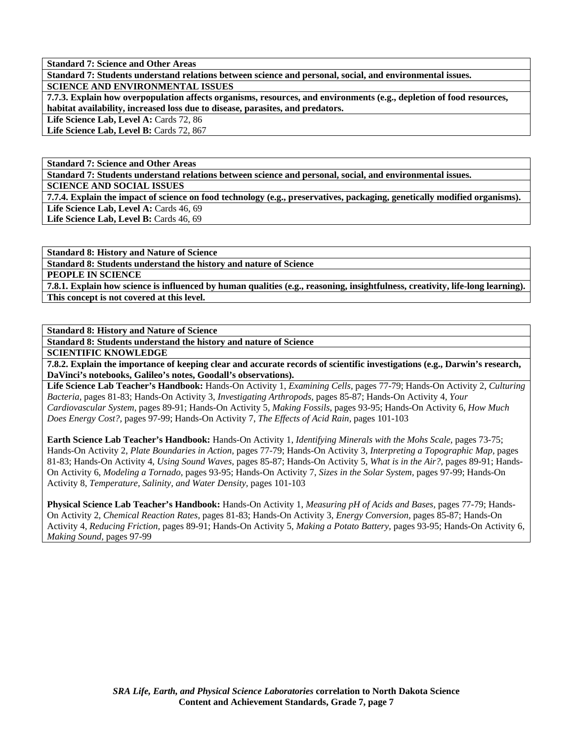**Standard 7: Science and Other Areas** 

**Standard 7: Students understand relations between science and personal, social, and environmental issues.** 

**SCIENCE AND ENVIRONMENTAL ISSUES** 

**7.7.3. Explain how overpopulation affects organisms, resources, and environments (e.g., depletion of food resources, habitat availability, increased loss due to disease, parasites, and predators.** 

Life Science Lab, Level A: Cards 72, 86

Life Science Lab, Level B: Cards 72, 867

**Standard 7: Science and Other Areas** 

**Standard 7: Students understand relations between science and personal, social, and environmental issues.** 

**SCIENCE AND SOCIAL ISSUES** 

**7.7.4. Explain the impact of science on food technology (e.g., preservatives, packaging, genetically modified organisms).**  Life Science Lab, Level A: Cards 46, 69

Life Science Lab, Level B: Cards 46, 69

**Standard 8: History and Nature of Science Standard 8: Students understand the history and nature of Science PEOPLE IN SCIENCE 7.8.1. Explain how science is influenced by human qualities (e.g., reasoning, insightfulness, creativity, life-long learning). This concept is not covered at this level.** 

**Standard 8: History and Nature of Science** 

**Standard 8: Students understand the history and nature of Science** 

**SCIENTIFIC KNOWLEDGE** 

**7.8.2. Explain the importance of keeping clear and accurate records of scientific investigations (e.g., Darwin's research, DaVinci's notebooks, Galileo's notes, Goodall's observations).** 

**Life Science Lab Teacher's Handbook:** Hands-On Activity 1, *Examining Cells,* pages 77-79; Hands-On Activity 2, *Culturing Bacteria,* pages 81-83; Hands-On Activity 3, *Investigating Arthropods,* pages 85-87; Hands-On Activity 4, *Your Cardiovascular System,* pages 89-91; Hands-On Activity 5, *Making Fossils,* pages 93-95; Hands-On Activity 6, *How Much Does Energy Cost?,* pages 97-99; Hands-On Activity 7, *The Effects of Acid Rain,* pages 101-103

**Earth Science Lab Teacher's Handbook:** Hands-On Activity 1, *Identifying Minerals with the Mohs Scale,* pages 73-75; Hands-On Activity 2, *Plate Boundaries in Action,* pages 77-79; Hands-On Activity 3, *Interpreting a Topographic Map,* pages 81-83; Hands-On Activity 4, *Using Sound Waves,* pages 85-87; Hands-On Activity 5, *What is in the Air?,* pages 89-91; Hands-On Activity 6, *Modeling a Tornado,* pages 93-95; Hands-On Activity 7, *Sizes in the Solar System,* pages 97-99; Hands-On Activity 8, *Temperature, Salinity, and Water Density,* pages 101-103

**Physical Science Lab Teacher's Handbook:** Hands-On Activity 1, *Measuring pH of Acids and Bases,* pages 77-79; Hands-On Activity 2, *Chemical Reaction Rates,* pages 81-83; Hands-On Activity 3, *Energy Conversion,* pages 85-87; Hands-On Activity 4, *Reducing Friction,* pages 89-91; Hands-On Activity 5, *Making a Potato Battery,* pages 93-95; Hands-On Activity 6, *Making Sound,* pages 97-99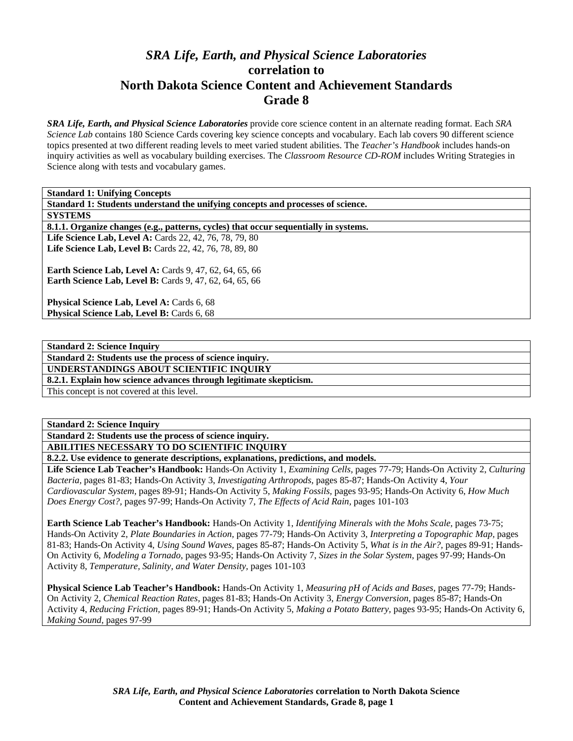# *SRA Life, Earth, and Physical Science Laboratories*  **correlation to North Dakota Science Content and Achievement Standards Grade 8**

*SRA Life, Earth, and Physical Science Laboratories* provide core science content in an alternate reading format. Each *SRA Science Lab* contains 180 Science Cards covering key science concepts and vocabulary. Each lab covers 90 different science topics presented at two different reading levels to meet varied student abilities. The *Teacher's Handbook* includes hands-on inquiry activities as well as vocabulary building exercises. The *Classroom Resource CD-ROM* includes Writing Strategies in Science along with tests and vocabulary games.

**Standard 1: Students understand the unifying concepts and processes of science.** 

**SYSTEMS** 

**8.1.1. Organize changes (e.g., patterns, cycles) that occur sequentially in systems.** 

**Life Science Lab, Level A: Cards 22, 42, 76, 78, 79, 80 Life Science Lab, Level B: Cards 22, 42, 76, 78, 89, 80** 

**Earth Science Lab, Level A: Cards 9, 47, 62, 64, 65, 66 Earth Science Lab, Level B:** Cards 9, 47, 62, 64, 65, 66

Physical Science Lab, Level A: Cards 6, 68 Physical Science Lab, Level B: Cards 6, 68

**Standard 2: Science Inquiry** 

**Standard 2: Students use the process of science inquiry.** 

**UNDERSTANDINGS ABOUT SCIENTIFIC INQUIRY** 

**8.2.1. Explain how science advances through legitimate skepticism.** 

This concept is not covered at this level.

#### **Standard 2: Science Inquiry**

**Standard 2: Students use the process of science inquiry.** 

#### **ABILITIES NECESSARY TO DO SCIENTIFIC INQUIRY**

**8.2.2. Use evidence to generate descriptions, explanations, predictions, and models.** 

**Life Science Lab Teacher's Handbook:** Hands-On Activity 1, *Examining Cells,* pages 77-79; Hands-On Activity 2, *Culturing Bacteria,* pages 81-83; Hands-On Activity 3, *Investigating Arthropods,* pages 85-87; Hands-On Activity 4, *Your Cardiovascular System,* pages 89-91; Hands-On Activity 5, *Making Fossils,* pages 93-95; Hands-On Activity 6, *How Much Does Energy Cost?,* pages 97-99; Hands-On Activity 7, *The Effects of Acid Rain,* pages 101-103

**Earth Science Lab Teacher's Handbook:** Hands-On Activity 1, *Identifying Minerals with the Mohs Scale,* pages 73-75; Hands-On Activity 2, *Plate Boundaries in Action,* pages 77-79; Hands-On Activity 3, *Interpreting a Topographic Map,* pages 81-83; Hands-On Activity 4, *Using Sound Waves,* pages 85-87; Hands-On Activity 5, *What is in the Air?,* pages 89-91; Hands-On Activity 6, *Modeling a Tornado,* pages 93-95; Hands-On Activity 7, *Sizes in the Solar System,* pages 97-99; Hands-On Activity 8, *Temperature, Salinity, and Water Density,* pages 101-103

**Physical Science Lab Teacher's Handbook:** Hands-On Activity 1, *Measuring pH of Acids and Bases,* pages 77-79; Hands-On Activity 2, *Chemical Reaction Rates,* pages 81-83; Hands-On Activity 3, *Energy Conversion,* pages 85-87; Hands-On Activity 4, *Reducing Friction,* pages 89-91; Hands-On Activity 5, *Making a Potato Battery,* pages 93-95; Hands-On Activity 6, *Making Sound,* pages 97-99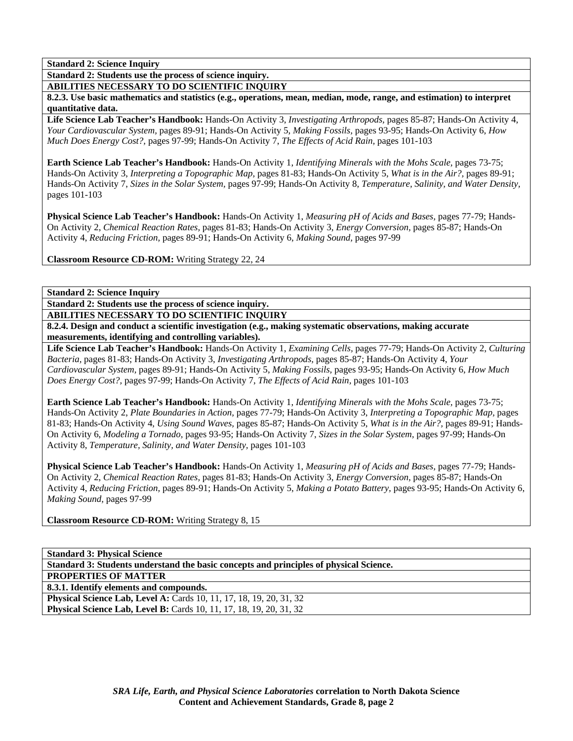**Standard 2: Students use the process of science inquiry.** 

**ABILITIES NECESSARY TO DO SCIENTIFIC INQUIRY** 

**8.2.3. Use basic mathematics and statistics (e.g., operations, mean, median, mode, range, and estimation) to interpret quantitative data.** 

**Life Science Lab Teacher's Handbook:** Hands-On Activity 3, *Investigating Arthropods,* pages 85-87; Hands-On Activity 4, *Your Cardiovascular System,* pages 89-91; Hands-On Activity 5, *Making Fossils,* pages 93-95; Hands-On Activity 6, *How Much Does Energy Cost?,* pages 97-99; Hands-On Activity 7, *The Effects of Acid Rain,* pages 101-103

**Earth Science Lab Teacher's Handbook:** Hands-On Activity 1, *Identifying Minerals with the Mohs Scale,* pages 73-75; Hands-On Activity 3, *Interpreting a Topographic Map,* pages 81-83; Hands-On Activity 5, *What is in the Air?,* pages 89-91; Hands-On Activity 7, *Sizes in the Solar System,* pages 97-99; Hands-On Activity 8, *Temperature, Salinity, and Water Density,* pages 101-103

**Physical Science Lab Teacher's Handbook:** Hands-On Activity 1, *Measuring pH of Acids and Bases,* pages 77-79; Hands-On Activity 2, *Chemical Reaction Rates,* pages 81-83; Hands-On Activity 3, *Energy Conversion,* pages 85-87; Hands-On Activity 4, *Reducing Friction,* pages 89-91; Hands-On Activity 6, *Making Sound,* pages 97-99

**Classroom Resource CD-ROM:** Writing Strategy 22, 24

**Standard 2: Science Inquiry** 

**Standard 2: Students use the process of science inquiry.** 

**ABILITIES NECESSARY TO DO SCIENTIFIC INQUIRY** 

**8.2.4. Design and conduct a scientific investigation (e.g., making systematic observations, making accurate measurements, identifying and controlling variables).** 

**Life Science Lab Teacher's Handbook:** Hands-On Activity 1, *Examining Cells,* pages 77-79; Hands-On Activity 2, *Culturing Bacteria,* pages 81-83; Hands-On Activity 3, *Investigating Arthropods,* pages 85-87; Hands-On Activity 4, *Your Cardiovascular System,* pages 89-91; Hands-On Activity 5, *Making Fossils,* pages 93-95; Hands-On Activity 6, *How Much Does Energy Cost?,* pages 97-99; Hands-On Activity 7, *The Effects of Acid Rain,* pages 101-103

**Earth Science Lab Teacher's Handbook:** Hands-On Activity 1, *Identifying Minerals with the Mohs Scale,* pages 73-75; Hands-On Activity 2, *Plate Boundaries in Action,* pages 77-79; Hands-On Activity 3, *Interpreting a Topographic Map,* pages 81-83; Hands-On Activity 4, *Using Sound Waves,* pages 85-87; Hands-On Activity 5, *What is in the Air?,* pages 89-91; Hands-On Activity 6, *Modeling a Tornado,* pages 93-95; Hands-On Activity 7, *Sizes in the Solar System,* pages 97-99; Hands-On Activity 8, *Temperature, Salinity, and Water Density,* pages 101-103

**Physical Science Lab Teacher's Handbook:** Hands-On Activity 1, *Measuring pH of Acids and Bases,* pages 77-79; Hands-On Activity 2, *Chemical Reaction Rates,* pages 81-83; Hands-On Activity 3, *Energy Conversion,* pages 85-87; Hands-On Activity 4, *Reducing Friction,* pages 89-91; Hands-On Activity 5, *Making a Potato Battery,* pages 93-95; Hands-On Activity 6, *Making Sound,* pages 97-99

**Classroom Resource CD-ROM:** Writing Strategy 8, 15

| Standard 3: Students understand the basic concepts and principles of physical Science. |
|----------------------------------------------------------------------------------------|
| <b>PROPERTIES OF MATTER</b>                                                            |
| 8.3.1. Identify elements and compounds.                                                |
| <b>Physical Science Lab, Level A:</b> Cards 10, 11, 17, 18, 19, 20, 31, 32             |
| Physical Science Lab, Level B: Cards 10, 11, 17, 18, 19, 20, 31, 32                    |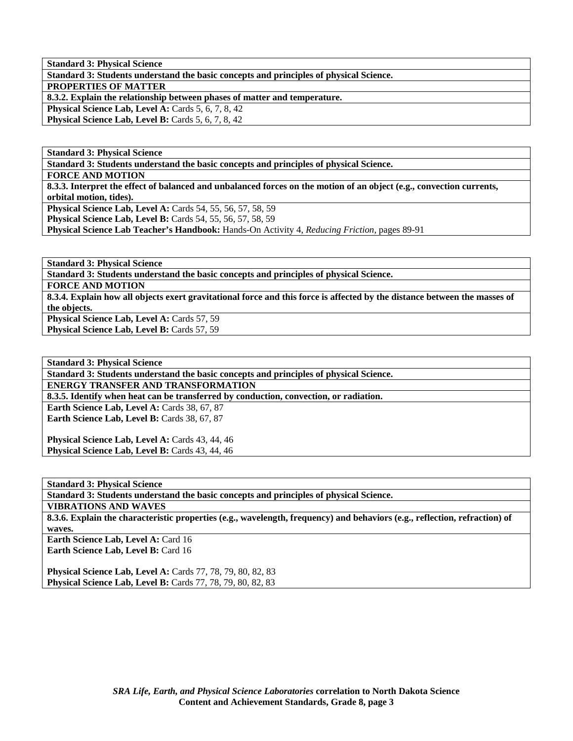**Standard 3: Physical Science** 

**Standard 3: Students understand the basic concepts and principles of physical Science.** 

**PROPERTIES OF MATTER** 

**8.3.2. Explain the relationship between phases of matter and temperature.** 

**Physical Science Lab, Level A: Cards 5, 6, 7, 8, 42** 

**Physical Science Lab, Level B: Cards 5, 6, 7, 8, 42** 

**Standard 3: Physical Science** 

**Standard 3: Students understand the basic concepts and principles of physical Science.** 

**FORCE AND MOTION** 

**8.3.3. Interpret the effect of balanced and unbalanced forces on the motion of an object (e.g., convection currents, orbital motion, tides).** 

**Physical Science Lab, Level A:** Cards 54, 55, 56, 57, 58, 59

**Physical Science Lab, Level B:** Cards 54, 55, 56, 57, 58, 59

**Physical Science Lab Teacher's Handbook:** Hands-On Activity 4, *Reducing Friction,* pages 89-91

**Standard 3: Physical Science** 

**Standard 3: Students understand the basic concepts and principles of physical Science.** 

**FORCE AND MOTION** 

**8.3.4. Explain how all objects exert gravitational force and this force is affected by the distance between the masses of the objects.** 

Physical Science Lab, Level A: Cards 57, 59 Physical Science Lab, Level B: Cards 57, 59

**Standard 3: Physical Science Standard 3: Students understand the basic concepts and principles of physical Science. ENERGY TRANSFER AND TRANSFORMATION 8.3.5. Identify when heat can be transferred by conduction, convection, or radiation.**  Earth Science Lab, Level A: Cards 38, 67, 87 Earth Science Lab, Level B: Cards 38, 67, 87 Physical Science Lab, Level A: Cards 43, 44, 46 Physical Science Lab, Level B: Cards 43, 44, 46

**Standard 3: Physical Science** 

**Standard 3: Students understand the basic concepts and principles of physical Science.** 

**VIBRATIONS AND WAVES** 

**8.3.6. Explain the characteristic properties (e.g., wavelength, frequency) and behaviors (e.g., reflection, refraction) of waves.** 

**Earth Science Lab, Level A: Card 16** Earth Science Lab, Level B: Card 16

**Physical Science Lab, Level A:** Cards 77, 78, 79, 80, 82, 83 **Physical Science Lab, Level B:** Cards 77, 78, 79, 80, 82, 83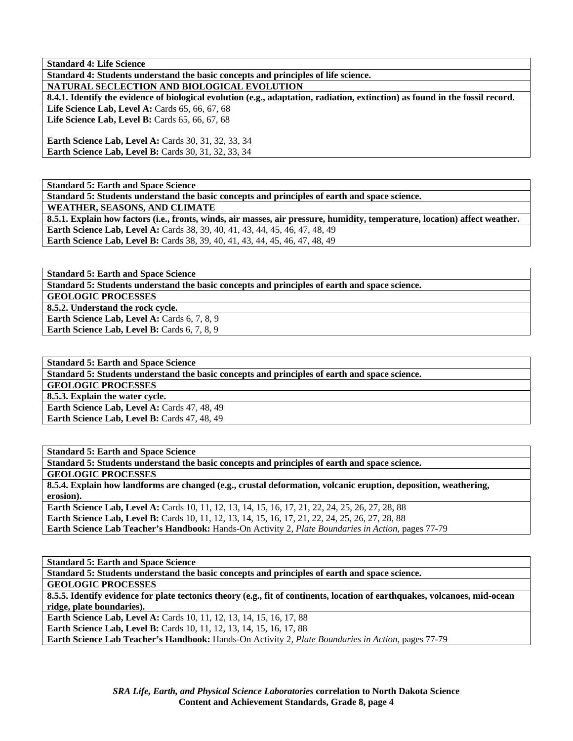**Standard 4: Life Science** 

**Standard 4: Students understand the basic concepts and principles of life science. NATURAL SECLECTION AND BIOLOGICAL EVOLUTION** 

**8.4.1. Identify the evidence of biological evolution (e.g., adaptation, radiation, extinction) as found in the fossil record.**  Life Science Lab, Level A: Cards 65, 66, 67, 68

Life Science Lab, Level B: Cards 65, 66, 67, 68

**Earth Science Lab, Level A:** Cards 30, 31, 32, 33, 34 **Earth Science Lab, Level B: Cards 30, 31, 32, 33, 34** 

**Standard 5: Earth and Space Science** 

**Standard 5: Students understand the basic concepts and principles of earth and space science. WEATHER, SEASONS, AND CLIMATE 8.5.1. Explain how factors (i.e., fronts, winds, air masses, air pressure, humidity, temperature, location) affect weather. Earth Science Lab, Level A: Cards 38, 39, 40, 41, 43, 44, 45, 46, 47, 48, 49 Earth Science Lab, Level B:** Cards 38, 39, 40, 41, 43, 44, 45, 46, 47, 48, 49

**Standard 5: Earth and Space Science** 

**Standard 5: Students understand the basic concepts and principles of earth and space science.** 

**GEOLOGIC PROCESSES** 

**8.5.2. Understand the rock cycle.** 

**Earth Science Lab, Level A: Cards 6, 7, 8, 9** Earth Science Lab, Level B: Cards 6, 7, 8, 9

**Standard 5: Earth and Space Science Standard 5: Students understand the basic concepts and principles of earth and space science. GEOLOGIC PROCESSES 8.5.3. Explain the water cycle.**  Earth Science Lab, Level A: Cards 47, 48, 49 Earth Science Lab, Level B: Cards 47, 48, 49

**Standard 5: Earth and Space Science Standard 5: Students understand the basic concepts and principles of earth and space science. GEOLOGIC PROCESSES 8.5.4. Explain how landforms are changed (e.g., crustal deformation, volcanic eruption, deposition, weathering, erosion). Earth Science Lab, Level A:** Cards 10, 11, 12, 13, 14, 15, 16, 17, 21, 22, 24, 25, 26, 27, 28, 88 **Earth Science Lab, Level B:** Cards 10, 11, 12, 13, 14, 15, 16, 17, 21, 22, 24, 25, 26, 27, 28, 88 **Earth Science Lab Teacher's Handbook:** Hands-On Activity 2, *Plate Boundaries in Action,* pages 77-79

**Standard 5: Earth and Space Science Standard 5: Students understand the basic concepts and principles of earth and space science. GEOLOGIC PROCESSES 8.5.5. Identify evidence for plate tectonics theory (e.g., fit of continents, location of earthquakes, volcanoes, mid-ocean ridge, plate boundaries). Earth Science Lab, Level A: Cards 10, 11, 12, 13, 14, 15, 16, 17, 88 Earth Science Lab, Level B:** Cards 10, 11, 12, 13, 14, 15, 16, 17, 88 **Earth Science Lab Teacher's Handbook:** Hands-On Activity 2, *Plate Boundaries in Action,* pages 77-79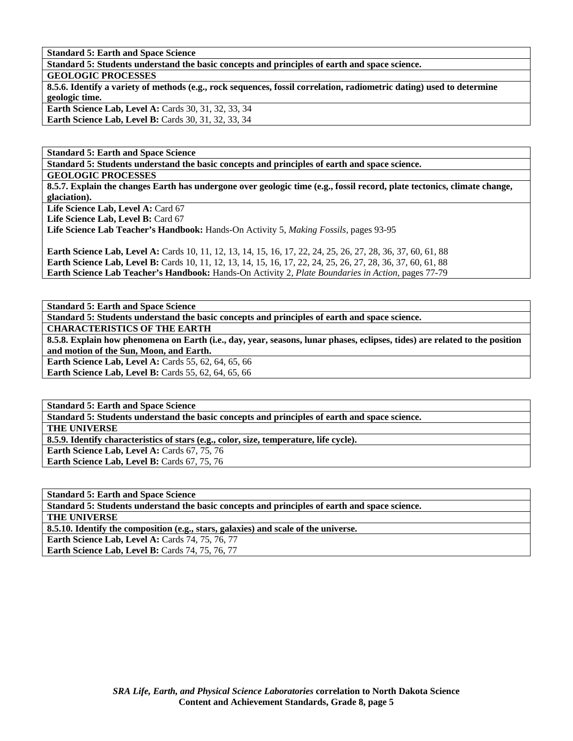**Standard 5: Earth and Space Science** 

**Standard 5: Students understand the basic concepts and principles of earth and space science. GEOLOGIC PROCESSES 8.5.6. Identify a variety of methods (e.g., rock sequences, fossil correlation, radiometric dating) used to determine geologic time. Earth Science Lab, Level A: Cards 30, 31, 32, 33, 34 Earth Science Lab, Level B: Cards 30, 31, 32, 33, 34** 

**Standard 5: Earth and Space Science** 

**Standard 5: Students understand the basic concepts and principles of earth and space science.** 

**GEOLOGIC PROCESSES** 

**8.5.7. Explain the changes Earth has undergone over geologic time (e.g., fossil record, plate tectonics, climate change, glaciation).** 

Life Science Lab, Level A: Card 67

Life Science Lab, Level B: Card 67

**Life Science Lab Teacher's Handbook:** Hands-On Activity 5, *Making Fossils,* pages 93-95

**Earth Science Lab, Level A:** Cards 10, 11, 12, 13, 14, 15, 16, 17, 22, 24, 25, 26, 27, 28, 36, 37, 60, 61, 88 **Earth Science Lab, Level B:** Cards 10, 11, 12, 13, 14, 15, 16, 17, 22, 24, 25, 26, 27, 28, 36, 37, 60, 61, 88 **Earth Science Lab Teacher's Handbook:** Hands-On Activity 2, *Plate Boundaries in Action,* pages 77-79

**Standard 5: Earth and Space Science** 

**Standard 5: Students understand the basic concepts and principles of earth and space science.** 

**CHARACTERISTICS OF THE EARTH** 

**8.5.8. Explain how phenomena on Earth (i.e., day, year, seasons, lunar phases, eclipses, tides) are related to the position and motion of the Sun, Moon, and Earth.** 

**Earth Science Lab, Level A: Cards 55, 62, 64, 65, 66** 

**Earth Science Lab, Level B: Cards 55, 62, 64, 65, 66** 

**Standard 5: Earth and Space Science** 

**Standard 5: Students understand the basic concepts and principles of earth and space science.** 

**THE UNIVERSE** 

**8.5.9. Identify characteristics of stars (e.g., color, size, temperature, life cycle).** 

Earth Science Lab, Level A: Cards 67, 75, 76

**Earth Science Lab, Level B: Cards 67, 75, 76** 

**Standard 5: Earth and Space Science Standard 5: Students understand the basic concepts and principles of earth and space science. THE UNIVERSE** 

**8.5.10. Identify the composition (e.g., stars, galaxies) and scale of the universe.** 

**Earth Science Lab, Level A: Cards 74, 75, 76, 77** 

**Earth Science Lab, Level B:** Cards 74, 75, 76, 77